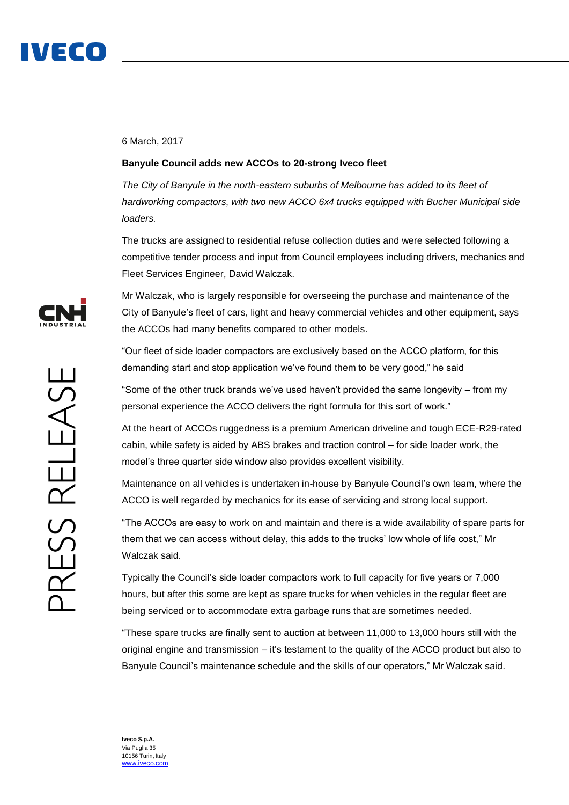

## 6 March, 2017

## **Banyule Council adds new ACCOs to 20-strong Iveco fleet**

*The City of Banyule in the north-eastern suburbs of Melbourne has added to its fleet of hardworking compactors, with two new ACCO 6x4 trucks equipped with Bucher Municipal side loaders.*

The trucks are assigned to residential refuse collection duties and were selected following a competitive tender process and input from Council employees including drivers, mechanics and Fleet Services Engineer, David Walczak.

Mr Walczak, who is largely responsible for overseeing the purchase and maintenance of the City of Banyule's fleet of cars, light and heavy commercial vehicles and other equipment, says the ACCOs had many benefits compared to other models.

"Our fleet of side loader compactors are exclusively based on the ACCO platform, for this demanding start and stop application we've found them to be very good," he said

"Some of the other truck brands we've used haven't provided the same longevity – from my personal experience the ACCO delivers the right formula for this sort of work."

At the heart of ACCOs ruggedness is a premium American driveline and tough ECE-R29-rated cabin, while safety is aided by ABS brakes and traction control – for side loader work, the model's three quarter side window also provides excellent visibility.

Maintenance on all vehicles is undertaken in-house by Banyule Council's own team, where the ACCO is well regarded by mechanics for its ease of servicing and strong local support.

"The ACCOs are easy to work on and maintain and there is a wide availability of spare parts for them that we can access without delay, this adds to the trucks' low whole of life cost," Mr Walczak said.

Typically the Council's side loader compactors work to full capacity for five years or 7,000 hours, but after this some are kept as spare trucks for when vehicles in the regular fleet are being serviced or to accommodate extra garbage runs that are sometimes needed.

"These spare trucks are finally sent to auction at between 11,000 to 13,000 hours still with the original engine and transmission – it's testament to the quality of the ACCO product but also to Banyule Council's maintenance schedule and the skills of our operators," Mr Walczak said.



**Iveco S.p.A.** Via Puglia 35 10156 Turin, Italy [www.iveco.com](http://www.iveco.com/)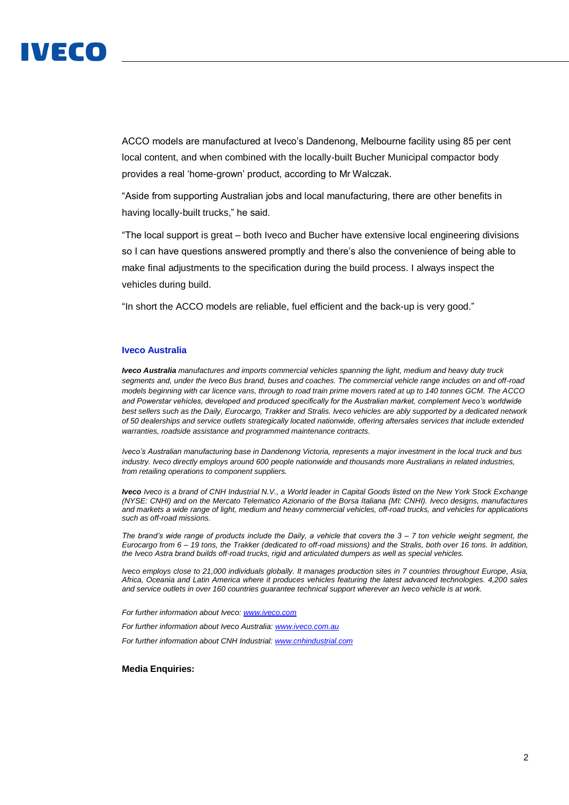

ACCO models are manufactured at Iveco's Dandenong, Melbourne facility using 85 per cent local content, and when combined with the locally-built Bucher Municipal compactor body provides a real 'home-grown' product, according to Mr Walczak.

"Aside from supporting Australian jobs and local manufacturing, there are other benefits in having locally-built trucks," he said.

"The local support is great – both Iveco and Bucher have extensive local engineering divisions so I can have questions answered promptly and there's also the convenience of being able to make final adjustments to the specification during the build process. I always inspect the vehicles during build.

"In short the ACCO models are reliable, fuel efficient and the back-up is very good."

## **Iveco Australia**

*Iveco Australia manufactures and imports commercial vehicles spanning the light, medium and heavy duty truck segments and, under the Iveco Bus brand, buses and coaches. The commercial vehicle range includes on and off-road models beginning with car licence vans, through to road train prime movers rated at up to 140 tonnes GCM. The ACCO and Powerstar vehicles, developed and produced specifically for the Australian market, complement Iveco's worldwide best sellers such as the Daily, Eurocargo, Trakker and Stralis. Iveco vehicles are ably supported by a dedicated network of 50 dealerships and service outlets strategically located nationwide, offering aftersales services that include extended warranties, roadside assistance and programmed maintenance contracts.*

*Iveco's Australian manufacturing base in Dandenong Victoria, represents a major investment in the local truck and bus industry. Iveco directly employs around 600 people nationwide and thousands more Australians in related industries, from retailing operations to component suppliers.* 

*Iveco Iveco is a brand of CNH Industrial N.V., a World leader in Capital Goods listed on the New York Stock Exchange (NYSE: CNHI) and on the Mercato Telematico Azionario of the Borsa Italiana (MI: CNHI). Iveco designs, manufactures and markets a wide range of light, medium and heavy commercial vehicles, off-road trucks, and vehicles for applications such as off-road missions.* 

*The brand's wide range of products include the Daily, a vehicle that covers the 3 – 7 ton vehicle weight segment, the Eurocargo from 6 – 19 tons, the Trakker (dedicated to off-road missions) and the Stralis, both over 16 tons. In addition, the Iveco Astra brand builds off-road trucks, rigid and articulated dumpers as well as special vehicles.* 

*Iveco employs close to 21,000 individuals globally. It manages production sites in 7 countries throughout Europe, Asia, Africa, Oceania and Latin America where it produces vehicles featuring the latest advanced technologies. 4,200 sales and service outlets in over 160 countries guarantee technical support wherever an Iveco vehicle is at work.*

*For further information about Iveco: [www.iveco.com](http://www.iveco.com/)*

*For further information about Iveco Australia: [www.iveco.com.au](http://www.iveco.com.au/)*

*For further information about CNH Industrial[: www.cnhindustrial.com](http://www.cnhindustrial.com/)*

## **Media Enquiries:**